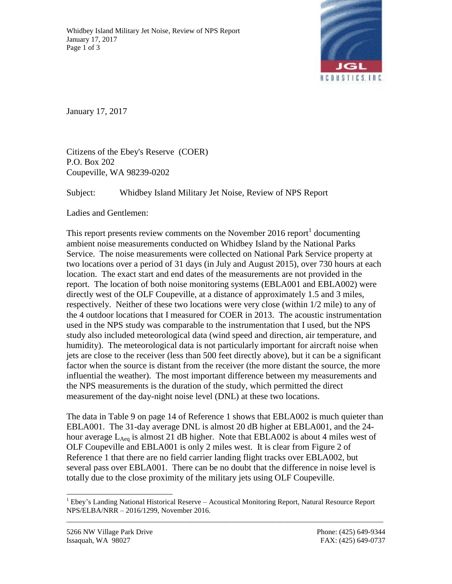

January 17, 2017

Citizens of the Ebey's Reserve (COER) P.O. Box 202 Coupeville, WA 98239-0202

Subject: Whidbey Island Military Jet Noise, Review of NPS Report

Ladies and Gentlemen:

This report presents review comments on the November 2016 report<sup>1</sup> documenting ambient noise measurements conducted on Whidbey Island by the National Parks Service. The noise measurements were collected on National Park Service property at two locations over a period of 31 days (in July and August 2015), over 730 hours at each location. The exact start and end dates of the measurements are not provided in the report. The location of both noise monitoring systems (EBLA001 and EBLA002) were directly west of the OLF Coupeville, at a distance of approximately 1.5 and 3 miles, respectively. Neither of these two locations were very close (within 1/2 mile) to any of the 4 outdoor locations that I measured for COER in 2013. The acoustic instrumentation used in the NPS study was comparable to the instrumentation that I used, but the NPS study also included meteorological data (wind speed and direction, air temperature, and humidity). The meteorological data is not particularly important for aircraft noise when jets are close to the receiver (less than 500 feet directly above), but it can be a significant factor when the source is distant from the receiver (the more distant the source, the more influential the weather). The most important difference between my measurements and the NPS measurements is the duration of the study, which permitted the direct measurement of the day-night noise level (DNL) at these two locations.

The data in Table 9 on page 14 of Reference 1 shows that EBLA002 is much quieter than EBLA001. The 31-day average DNL is almost 20 dB higher at EBLA001, and the 24 hour average L<sub>Aeq</sub> is almost 21 dB higher. Note that EBLA002 is about 4 miles west of OLF Coupeville and EBLA001 is only 2 miles west. It is clear from Figure 2 of Reference 1 that there are no field carrier landing flight tracks over EBLA002, but several pass over EBLA001. There can be no doubt that the difference in noise level is totally due to the close proximity of the military jets using OLF Coupeville.

\_\_\_\_\_\_\_\_\_\_\_\_\_\_\_\_\_\_\_\_\_\_\_\_\_\_\_\_\_\_\_\_\_\_\_\_\_\_\_\_\_\_\_\_\_\_\_\_\_\_\_\_\_\_\_\_\_\_\_\_\_\_\_\_\_\_\_\_\_\_\_\_\_\_\_\_\_\_\_\_\_\_\_\_\_\_

 $\overline{a}$ 

 $<sup>1</sup>$  Ebey's Landing National Historical Reserve – Acoustical Monitoring Report, Natural Resource Report</sup> NPS/ELBA/NRR – 2016/1299, November 2016.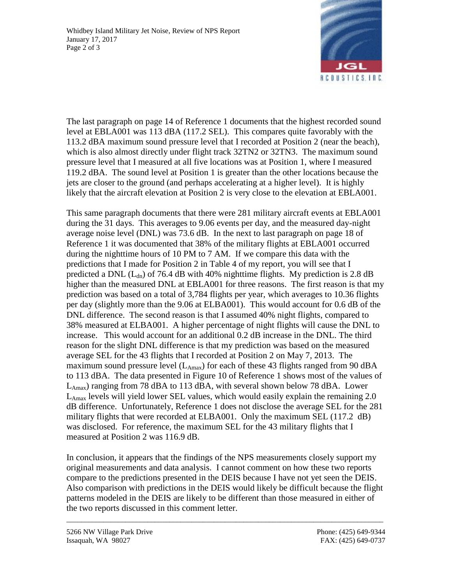

The last paragraph on page 14 of Reference 1 documents that the highest recorded sound level at EBLA001 was 113 dBA (117.2 SEL). This compares quite favorably with the 113.2 dBA maximum sound pressure level that I recorded at Position 2 (near the beach), which is also almost directly under flight track 32TN2 or 32TN3. The maximum sound pressure level that I measured at all five locations was at Position 1, where I measured 119.2 dBA. The sound level at Position 1 is greater than the other locations because the jets are closer to the ground (and perhaps accelerating at a higher level). It is highly likely that the aircraft elevation at Position 2 is very close to the elevation at EBLA001.

This same paragraph documents that there were 281 military aircraft events at EBLA001 during the 31 days. This averages to 9.06 events per day, and the measured day-night average noise level (DNL) was 73.6 dB. In the next to last paragraph on page 18 of Reference 1 it was documented that 38% of the military flights at EBLA001 occurred during the nighttime hours of 10 PM to 7 AM. If we compare this data with the predictions that I made for Position 2 in Table 4 of my report, you will see that I predicted a DNL  $(L_{dn})$  of 76.4 dB with 40% nighttime flights. My prediction is 2.8 dB higher than the measured DNL at EBLA001 for three reasons. The first reason is that my prediction was based on a total of 3,784 flights per year, which averages to 10.36 flights per day (slightly more than the 9.06 at ELBA001). This would account for 0.6 dB of the DNL difference. The second reason is that I assumed 40% night flights, compared to 38% measured at ELBA001. A higher percentage of night flights will cause the DNL to increase. This would account for an additional 0.2 dB increase in the DNL. The third reason for the slight DNL difference is that my prediction was based on the measured average SEL for the 43 flights that I recorded at Position 2 on May 7, 2013. The maximum sound pressure level  $(L_{Amax})$  for each of these 43 flights ranged from 90 dBA to 113 dBA. The data presented in Figure 10 of Reference 1 shows most of the values of  $L_{\text{Amax}}$ ) ranging from 78 dBA to 113 dBA, with several shown below 78 dBA. Lower  $L_{\text{Amax}}$  levels will yield lower SEL values, which would easily explain the remaining 2.0 dB difference. Unfortunately, Reference 1 does not disclose the average SEL for the 281 military flights that were recorded at ELBA001. Only the maximum SEL (117.2 dB) was disclosed. For reference, the maximum SEL for the 43 military flights that I measured at Position 2 was 116.9 dB.

In conclusion, it appears that the findings of the NPS measurements closely support my original measurements and data analysis. I cannot comment on how these two reports compare to the predictions presented in the DEIS because I have not yet seen the DEIS. Also comparison with predictions in the DEIS would likely be difficult because the flight patterns modeled in the DEIS are likely to be different than those measured in either of the two reports discussed in this comment letter.

\_\_\_\_\_\_\_\_\_\_\_\_\_\_\_\_\_\_\_\_\_\_\_\_\_\_\_\_\_\_\_\_\_\_\_\_\_\_\_\_\_\_\_\_\_\_\_\_\_\_\_\_\_\_\_\_\_\_\_\_\_\_\_\_\_\_\_\_\_\_\_\_\_\_\_\_\_\_\_\_\_\_\_\_\_\_